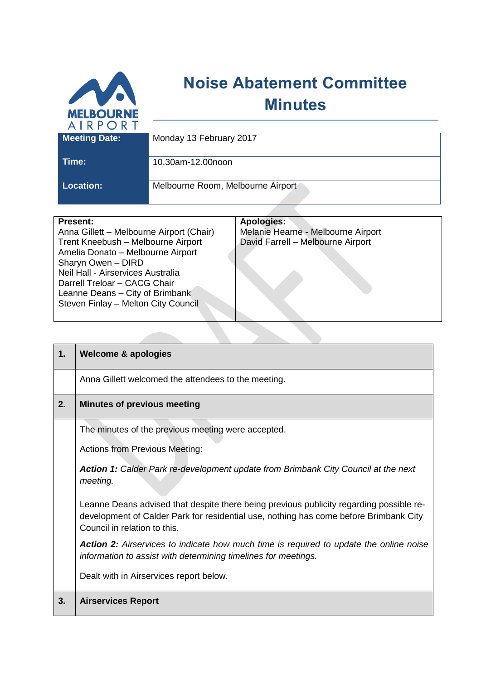

# **Noise Abatement Committee Minutes**

| AIRFURI              |                                   |
|----------------------|-----------------------------------|
| <b>Meeting Date:</b> | Monday 13 February 2017           |
|                      |                                   |
| Time:                | 10.30am-12.00noon                 |
|                      |                                   |
| <b>Location:</b>     | Melbourne Room, Melbourne Airport |
|                      |                                   |
|                      |                                   |

| <b>Present:</b>                          | Apologies:                         |
|------------------------------------------|------------------------------------|
| Anna Gillett - Melbourne Airport (Chair) | Melanie Hearne - Melbourne Airport |
| Trent Kneebush - Melbourne Airport       | David Farrell - Melbourne Airport  |
| Amelia Donato - Melbourne Airport        |                                    |
| Sharyn Owen - DIRD                       |                                    |
| Neil Hall - Airservices Australia        |                                    |
| Darrell Treloar - CACG Chair             |                                    |
| Leanne Deans - City of Brimbank          |                                    |
| Steven Finlay - Melton City Council      |                                    |
|                                          |                                    |
|                                          |                                    |

| 1. | <b>Welcome &amp; apologies</b>                                                                                                                                                                                   |
|----|------------------------------------------------------------------------------------------------------------------------------------------------------------------------------------------------------------------|
|    | Anna Gillett welcomed the attendees to the meeting.                                                                                                                                                              |
| 2. | <b>Minutes of previous meeting</b>                                                                                                                                                                               |
|    | The minutes of the previous meeting were accepted.                                                                                                                                                               |
|    | <b>Actions from Previous Meeting:</b>                                                                                                                                                                            |
|    | <b>Action 1:</b> Calder Park re-development update from Brimbank City Council at the next<br>meeting.                                                                                                            |
|    | Leanne Deans advised that despite there being previous publicity regarding possible re-<br>development of Calder Park for residential use, nothing has come before Brimbank City<br>Council in relation to this. |
|    | <b>Action 2:</b> Airservices to indicate how much time is required to update the online noise<br>information to assist with determining timelines for meetings.                                                  |
|    | Dealt with in Airservices report below.                                                                                                                                                                          |
| 3. | <b>Airservices Report</b>                                                                                                                                                                                        |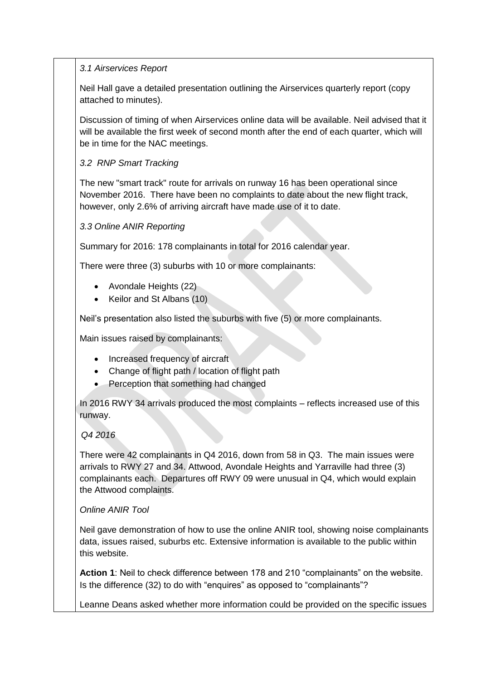# *3.1 Airservices Report*

Neil Hall gave a detailed presentation outlining the Airservices quarterly report (copy attached to minutes).

Discussion of timing of when Airservices online data will be available. Neil advised that it will be available the first week of second month after the end of each quarter, which will be in time for the NAC meetings.

# *3.2 RNP Smart Tracking*

The new "smart track" route for arrivals on runway 16 has been operational since November 2016. There have been no complaints to date about the new flight track, however, only 2.6% of arriving aircraft have made use of it to date.

#### *3.3 Online ANIR Reporting*

Summary for 2016: 178 complainants in total for 2016 calendar year.

There were three (3) suburbs with 10 or more complainants:

- Avondale Heights (22)
- Keilor and St Albans (10)

Neil's presentation also listed the suburbs with five (5) or more complainants.

Main issues raised by complainants:

- Increased frequency of aircraft
- Change of flight path / location of flight path
- Perception that something had changed

In 2016 RWY 34 arrivals produced the most complaints – reflects increased use of this runway.

## *Q4 2016*

There were 42 complainants in Q4 2016, down from 58 in Q3. The main issues were arrivals to RWY 27 and 34. Attwood, Avondale Heights and Yarraville had three (3) complainants each. Departures off RWY 09 were unusual in Q4, which would explain the Attwood complaints.

## *Online ANIR Tool*

Neil gave demonstration of how to use the online ANIR tool, showing noise complainants data, issues raised, suburbs etc. Extensive information is available to the public within this website.

**Action 1**: Neil to check difference between 178 and 210 "complainants" on the website. Is the difference (32) to do with "enquires" as opposed to "complainants"?

Leanne Deans asked whether more information could be provided on the specific issues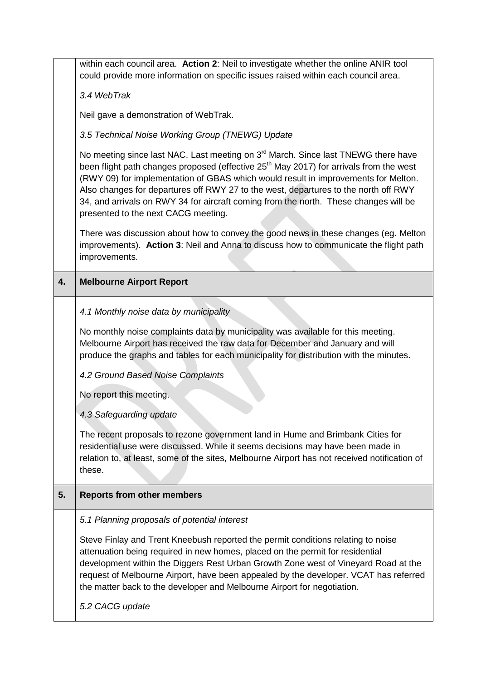|    | within each council area. Action 2: Neil to investigate whether the online ANIR tool<br>could provide more information on specific issues raised within each council area.                                                                                                                                                                                                                                                                                                                                      |
|----|-----------------------------------------------------------------------------------------------------------------------------------------------------------------------------------------------------------------------------------------------------------------------------------------------------------------------------------------------------------------------------------------------------------------------------------------------------------------------------------------------------------------|
|    | 3.4 WebTrak                                                                                                                                                                                                                                                                                                                                                                                                                                                                                                     |
|    | Neil gave a demonstration of WebTrak.                                                                                                                                                                                                                                                                                                                                                                                                                                                                           |
|    | 3.5 Technical Noise Working Group (TNEWG) Update                                                                                                                                                                                                                                                                                                                                                                                                                                                                |
|    | No meeting since last NAC. Last meeting on 3 <sup>rd</sup> March. Since last TNEWG there have<br>been flight path changes proposed (effective 25 <sup>th</sup> May 2017) for arrivals from the west<br>(RWY 09) for implementation of GBAS which would result in improvements for Melton.<br>Also changes for departures off RWY 27 to the west, departures to the north off RWY<br>34, and arrivals on RWY 34 for aircraft coming from the north. These changes will be<br>presented to the next CACG meeting. |
|    | There was discussion about how to convey the good news in these changes (eg. Melton<br>improvements). Action 3: Neil and Anna to discuss how to communicate the flight path<br>improvements.                                                                                                                                                                                                                                                                                                                    |
| 4. | <b>Melbourne Airport Report</b>                                                                                                                                                                                                                                                                                                                                                                                                                                                                                 |
|    | 4.1 Monthly noise data by municipality                                                                                                                                                                                                                                                                                                                                                                                                                                                                          |
|    | No monthly noise complaints data by municipality was available for this meeting.<br>Melbourne Airport has received the raw data for December and January and will<br>produce the graphs and tables for each municipality for distribution with the minutes.                                                                                                                                                                                                                                                     |
|    |                                                                                                                                                                                                                                                                                                                                                                                                                                                                                                                 |
|    | 4.2 Ground Based Noise Complaints                                                                                                                                                                                                                                                                                                                                                                                                                                                                               |
|    | No report this meeting.                                                                                                                                                                                                                                                                                                                                                                                                                                                                                         |
|    | 4.3 Safeguarding update                                                                                                                                                                                                                                                                                                                                                                                                                                                                                         |
|    | The recent proposals to rezone government land in Hume and Brimbank Cities for<br>residential use were discussed. While it seems decisions may have been made in<br>relation to, at least, some of the sites, Melbourne Airport has not received notification of<br>these.                                                                                                                                                                                                                                      |
| 5. | <b>Reports from other members</b>                                                                                                                                                                                                                                                                                                                                                                                                                                                                               |
|    | 5.1 Planning proposals of potential interest                                                                                                                                                                                                                                                                                                                                                                                                                                                                    |
|    | Steve Finlay and Trent Kneebush reported the permit conditions relating to noise<br>attenuation being required in new homes, placed on the permit for residential<br>development within the Diggers Rest Urban Growth Zone west of Vineyard Road at the<br>request of Melbourne Airport, have been appealed by the developer. VCAT has referred<br>the matter back to the developer and Melbourne Airport for negotiation.                                                                                      |